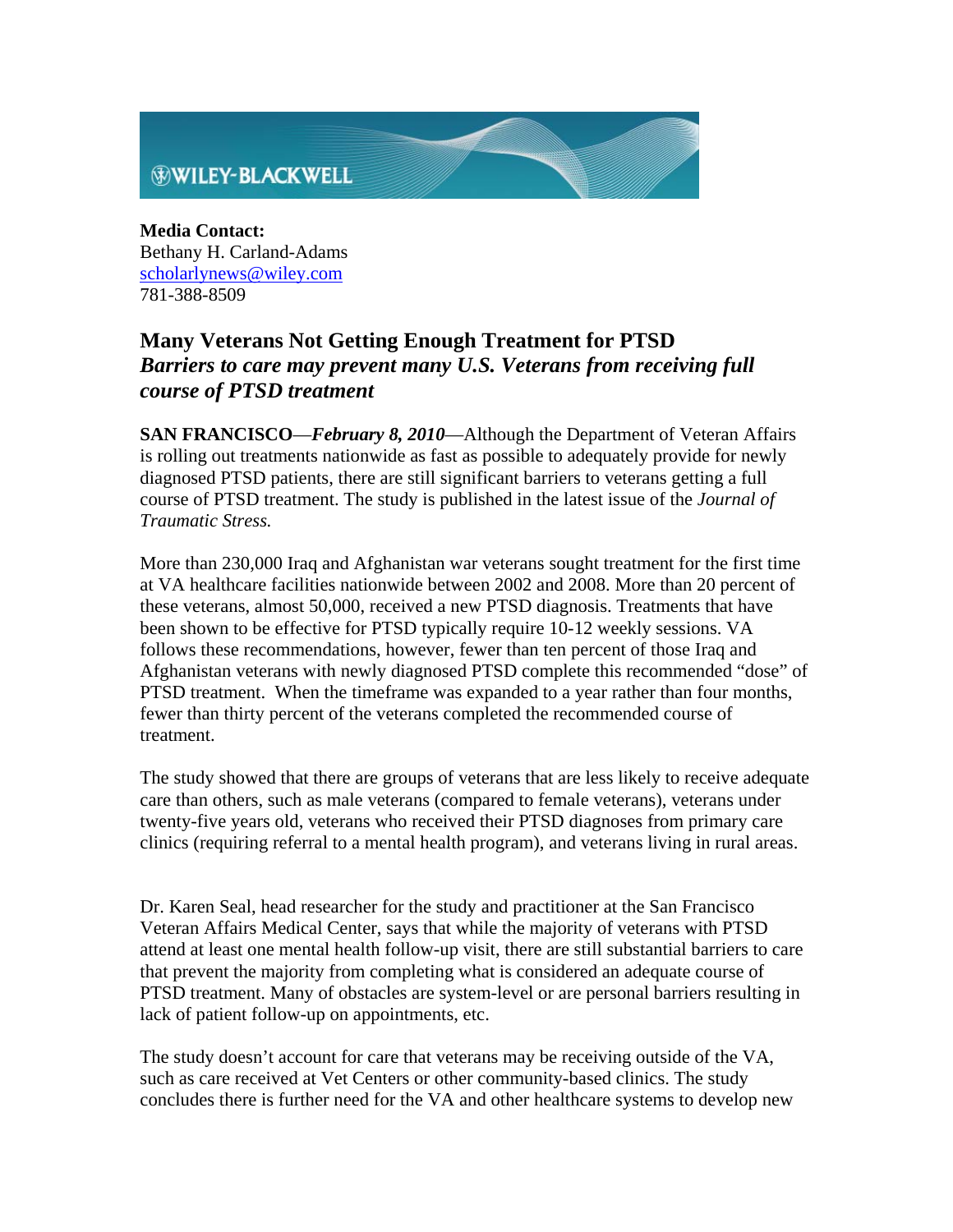

**Media Contact:** Bethany H. Carland-Adams scholarlynews@wiley.com 781-388-8509

## **Many Veterans Not Getting Enough Treatment for PTSD**  *Barriers to care may prevent many U.S. Veterans from receiving full course of PTSD treatment*

**SAN FRANCISCO**—*February 8, 2010*—Although the Department of Veteran Affairs is rolling out treatments nationwide as fast as possible to adequately provide for newly diagnosed PTSD patients, there are still significant barriers to veterans getting a full course of PTSD treatment. The study is published in the latest issue of the *Journal of Traumatic Stress.* 

More than 230,000 Iraq and Afghanistan war veterans sought treatment for the first time at VA healthcare facilities nationwide between 2002 and 2008. More than 20 percent of these veterans, almost 50,000, received a new PTSD diagnosis. Treatments that have been shown to be effective for PTSD typically require 10-12 weekly sessions. VA follows these recommendations, however, fewer than ten percent of those Iraq and Afghanistan veterans with newly diagnosed PTSD complete this recommended "dose" of PTSD treatment. When the timeframe was expanded to a year rather than four months, fewer than thirty percent of the veterans completed the recommended course of treatment.

The study showed that there are groups of veterans that are less likely to receive adequate care than others, such as male veterans (compared to female veterans), veterans under twenty-five years old, veterans who received their PTSD diagnoses from primary care clinics (requiring referral to a mental health program), and veterans living in rural areas.

Dr. Karen Seal, head researcher for the study and practitioner at the San Francisco Veteran Affairs Medical Center, says that while the majority of veterans with PTSD attend at least one mental health follow-up visit, there are still substantial barriers to care that prevent the majority from completing what is considered an adequate course of PTSD treatment. Many of obstacles are system-level or are personal barriers resulting in lack of patient follow-up on appointments, etc.

The study doesn't account for care that veterans may be receiving outside of the VA, such as care received at Vet Centers or other community-based clinics. The study concludes there is further need for the VA and other healthcare systems to develop new